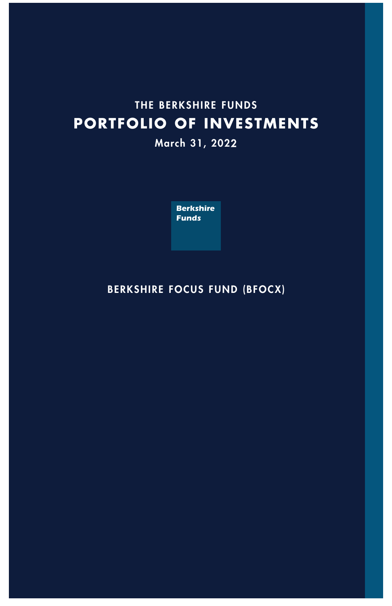# **THE BERKSHIRE FUNDS PORTFOLIO OF INVESTMENTS**

# **March 31, 202**2



# **BERKSHIRE FOCUS FUND (BFOCX)**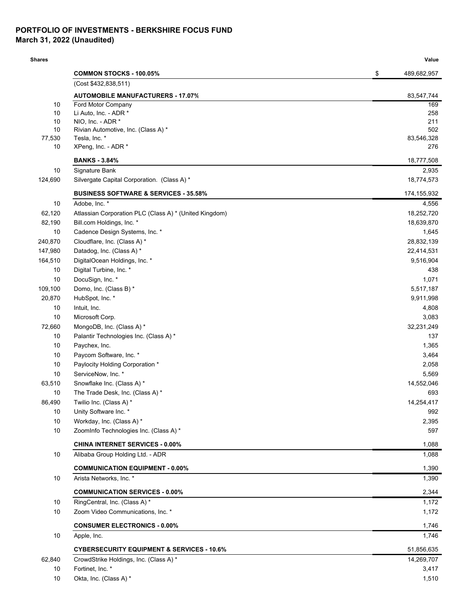### **PORTFOLIO OF INVESTMENTS - BERKSHIRE FOCUS FUND March 31, 2022 (Unaudited)**

#### **Shares Value**

|              | <b>COMMON STOCKS - 100.05%</b>                         | \$<br>489,682,957 |
|--------------|--------------------------------------------------------|-------------------|
|              | (Cost \$432,838,511)                                   |                   |
|              | <b>AUTOMOBILE MANUFACTURERS - 17.07%</b>               | 83,547,744        |
| 10           | Ford Motor Company                                     | 169               |
| 10           | Li Auto, Inc. - ADR *                                  | 258               |
| 10<br>10     | NIO, Inc. - ADR *                                      | 211               |
|              | Rivian Automotive, Inc. (Class A) *<br>Tesla, Inc. *   | 502<br>83,546,328 |
| 77,530<br>10 | XPeng, Inc. - ADR *                                    | 276               |
|              | <b>BANKS - 3.84%</b>                                   | 18,777,508        |
| 10           | Signature Bank                                         | 2,935             |
| 124,690      | Silvergate Capital Corporation. (Class A) *            | 18,774,573        |
|              | <b>BUSINESS SOFTWARE &amp; SERVICES - 35.58%</b>       | 174,155,932       |
| 10           | Adobe, Inc. *                                          | 4,556             |
| 62,120       | Atlassian Corporation PLC (Class A) * (United Kingdom) | 18,252,720        |
| 82,190       | Bill.com Holdings, Inc. *                              | 18,639,870        |
| 10           | Cadence Design Systems, Inc. *                         | 1,645             |
| 240,870      | Cloudflare, Inc. (Class A) *                           | 28,832,139        |
| 147,980      | Datadog, Inc. (Class A) *                              | 22,414,531        |
| 164,510      | DigitalOcean Holdings, Inc. *                          | 9,516,904         |
| 10           | Digital Turbine, Inc. *                                | 438               |
| 10           | DocuSign, Inc. *                                       | 1,071             |
| 109,100      | Domo, Inc. (Class B) *                                 | 5,517,187         |
| 20,870       | HubSpot, Inc. *                                        | 9,911,998         |
| 10           | Intuit, Inc.                                           | 4,808             |
| 10           | Microsoft Corp.                                        | 3,083             |
| 72,660       | MongoDB, Inc. (Class A) *                              | 32,231,249        |
| 10           | Palantir Technologies Inc. (Class A) *                 | 137               |
| 10           | Paychex, Inc.                                          | 1,365             |
| 10           | Paycom Software, Inc. *                                | 3,464             |
| 10           | Paylocity Holding Corporation *                        | 2,058             |
| 10           | ServiceNow, Inc. *                                     | 5,569             |
| 63,510       | Snowflake Inc. (Class A) *                             | 14,552,046        |
| 10           | The Trade Desk, Inc. (Class A) *                       | 693               |
| 86,490       | Twilio Inc. (Class A) *                                | 14,254,417        |
| 10           | Unity Software Inc. *                                  | 992               |
| $10$         | Workday, Inc. (Class A) *                              | 2,395             |
| 10           | ZoomInfo Technologies Inc. (Class A) *                 | 597               |
|              | <b>CHINA INTERNET SERVICES - 0.00%</b>                 | 1,088             |
| 10           | Alibaba Group Holding Ltd. - ADR                       | 1,088             |
|              | <b>COMMUNICATION EQUIPMENT - 0.00%</b>                 | 1,390             |
| 10           | Arista Networks, Inc. *                                | 1,390             |
|              | <b>COMMUNICATION SERVICES - 0.00%</b>                  | 2,344             |
| 10           | RingCentral, Inc. (Class A) *                          | 1,172             |
| 10           | Zoom Video Communications, Inc. *                      | 1,172             |
|              | <b>CONSUMER ELECTRONICS - 0.00%</b>                    | 1,746             |
| 10           | Apple, Inc.                                            | 1,746             |
|              | <b>CYBERSECURITY EQUIPMENT &amp; SERVICES - 10.6%</b>  | 51,856,635        |
| 62,840       | CrowdStrike Holdings, Inc. (Class A) *                 | 14,269,707        |
| 10           | Fortinet, Inc. *                                       | 3,417             |
| 10           | Okta, Inc. (Class A) *                                 | 1,510             |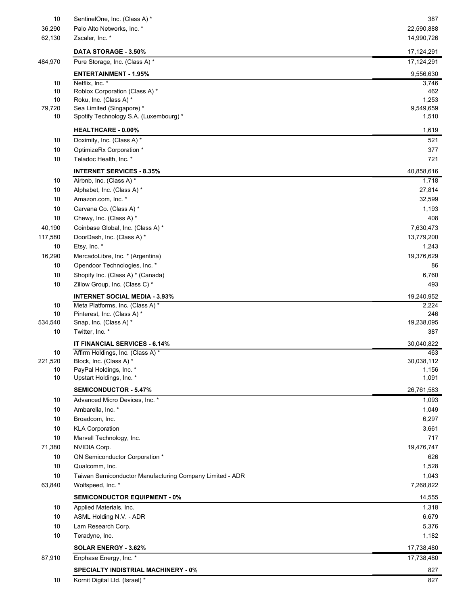| 10            | SentinelOne, Inc. (Class A) *                            | 387               |
|---------------|----------------------------------------------------------|-------------------|
| 36,290        | Palo Alto Networks, Inc. *                               | 22,590,888        |
| 62,130        | Zscaler, Inc. *                                          | 14,990,726        |
|               | DATA STORAGE - 3.50%                                     | 17,124,291        |
| 484,970       | Pure Storage, Inc. (Class A) *                           | 17,124,291        |
|               | <b>ENTERTAINMENT - 1.95%</b>                             | 9,556,630         |
| 10            | Netflix, Inc. *                                          | 3,746             |
| 10<br>10      | Roblox Corporation (Class A) *<br>Roku, Inc. (Class A) * | 462<br>1,253      |
| 79,720        | Sea Limited (Singapore) *                                | 9,549,659         |
| 10            | Spotify Technology S.A. (Luxembourg) *                   | 1,510             |
|               | <b>HEALTHCARE - 0.00%</b>                                | 1,619             |
| 10            | Doximity, Inc. (Class A) *                               | 521               |
| 10            | OptimizeRx Corporation *                                 | 377               |
| 10            | Teladoc Health, Inc. *                                   | 721               |
|               | <b>INTERNET SERVICES - 8.35%</b>                         | 40,858,616        |
| $10$          | Airbnb, Inc. (Class A) *                                 | 1,718             |
| 10            | Alphabet, Inc. (Class A) *                               | 27,814            |
| 10            | Amazon.com, Inc. *                                       | 32,599            |
| 10            | Carvana Co. (Class A) *                                  | 1,193             |
| 10            | Chewy, Inc. (Class A) *                                  | 408               |
| 40,190        | Coinbase Global, Inc. (Class A) *                        | 7,630,473         |
| 117,580       | DoorDash, Inc. (Class A) *                               | 13,779,200        |
| 10            | Etsy, Inc. *                                             | 1,243             |
| 16,290        | MercadoLibre, Inc. * (Argentina)                         | 19,376,629        |
| 10            | Opendoor Technologies, Inc. *                            | 86                |
| 10            | Shopify Inc. (Class A) * (Canada)                        | 6,760             |
| 10            | Zillow Group, Inc. (Class C) *                           | 493               |
|               | <b>INTERNET SOCIAL MEDIA - 3.93%</b>                     | 19,240,952        |
| 10            | Meta Platforms, Inc. (Class A) *                         | 2,224             |
| 10<br>534,540 | Pinterest, Inc. (Class A) *<br>Snap, Inc. (Class A) *    | 246<br>19,238,095 |
| 10            | Twitter, Inc. *                                          | 387               |
|               | IT FINANCIAL SERVICES - 6.14%                            | 30,040,822        |
| 10            | Affirm Holdings, Inc. (Class A) *                        | 463               |
| 221,520       | Block, Inc. (Class A) *                                  | 30,038,112        |
| 10            | PayPal Holdings, Inc. *                                  | 1,156             |
| 10            | Upstart Holdings, Inc. *                                 | 1,091             |
|               | <b>SEMICONDUCTOR - 5.47%</b>                             | 26,761,583        |
| 10            | Advanced Micro Devices, Inc. *                           | 1,093             |
| 10            | Ambarella, Inc. *                                        | 1,049             |
| 10            | Broadcom, Inc.                                           | 6,297             |
| 10            | <b>KLA Corporation</b>                                   | 3,661             |
| 10            | Marvell Technology, Inc.                                 | 717               |
| 71,380        | NVIDIA Corp.                                             | 19,476,747        |
| 10            | ON Semiconductor Corporation *                           | 626               |
| 10            | Qualcomm, Inc.                                           | 1,528             |
| 10            | Taiwan Semiconductor Manufacturing Company Limited - ADR | 1,043             |
| 63,840        | Wolfspeed, Inc. *                                        | 7,268,822         |
|               | <b>SEMICONDUCTOR EQUIPMENT - 0%</b>                      | 14,555            |
| 10            | Applied Materials, Inc.                                  | 1,318             |
| 10            | ASML Holding N.V. - ADR                                  | 6,679             |
| 10            | Lam Research Corp.                                       | 5,376             |
| 10            | Teradyne, Inc.                                           | 1,182             |
|               | SOLAR ENERGY - 3.62%                                     | 17,738,480        |
| 87,910        | Enphase Energy, Inc. *                                   | 17,738,480        |
|               | <b>SPECIALTY INDISTRIAL MACHINERY - 0%</b>               | 827               |
| 10            | Kornit Digital Ltd. (Israel) *                           | 827               |